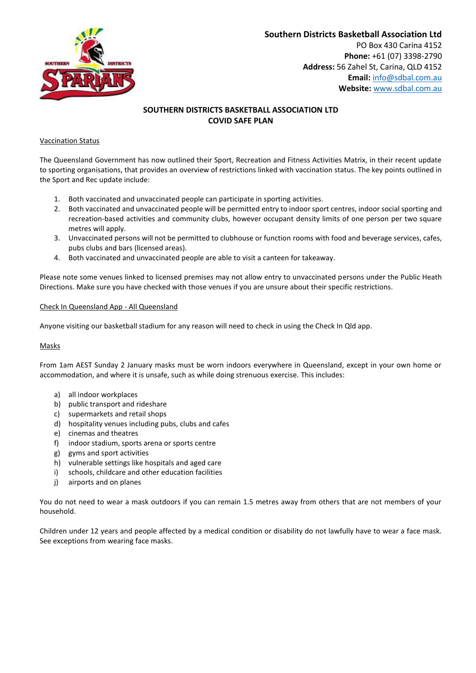

# **Southern Districts Basketball Association Ltd** PO Box 430 Carina 4152 **Phone:** +61 (07) 3398-2790 **Address:** 56 Zahel St, Carina, QLD 4152 **Email:** [info@sdbal.com.au](mailto:info@sdbal.com.au) **Website:** [www.sdbal.com.au](http://www.sdbal.com.au/)

# **SOUTHERN DISTRICTS BASKETBALL ASSOCIATION LTD COVID SAFE PLAN**

#### Vaccination Status

The Queensland Government has now outlined their Sport, Recreation and Fitness Activities Matrix, in their recent update to sporting organisations, that provides an overview of restrictions linked with vaccination status. The key points outlined in the Sport and Rec update include:

- 1. Both vaccinated and unvaccinated people can participate in sporting activities.
- 2. Both vaccinated and unvaccinated people will be permitted entry to indoor sport centres, indoor social sporting and recreation-based activities and community clubs, however occupant density limits of one person per two square metres will apply.
- 3. Unvaccinated persons will not be permitted to clubhouse or function rooms with food and beverage services, cafes, pubs clubs and bars (licensed areas).
- 4. Both vaccinated and unvaccinated people are able to visit a canteen for takeaway.

Please note some venues linked to licensed premises may not allow entry to unvaccinated persons under the Public Heath Directions. Make sure you have checked with those venues if you are unsure about their specific restrictions.

## Check In Queensland App - All Queensland

Anyone visiting our basketball stadium for any reason will need to check in using the Check In Qld app.

## Masks

From 1am AEST Sunday 2 January masks must be worn indoors everywhere in Queensland, except in your own home or accommodation, and where it is unsafe, such as while doing strenuous exercise. This includes:

- a) all indoor workplaces
- b) public transport and rideshare
- c) supermarkets and retail shops
- d) hospitality venues including pubs, clubs and cafes
- e) cinemas and theatres
- f) indoor stadium, sports arena or sports centre
- g) gyms and sport activities
- h) vulnerable settings like hospitals and aged care
- i) schools, childcare and other education facilities
- j) airports and on planes

You do not need to wear a mask outdoors if you can remain 1.5 metres away from others that are not members of your household.

Children under 12 years and people affected by a medical condition or disability do not lawfully have to wear a face mask. See exceptions from wearing face masks.